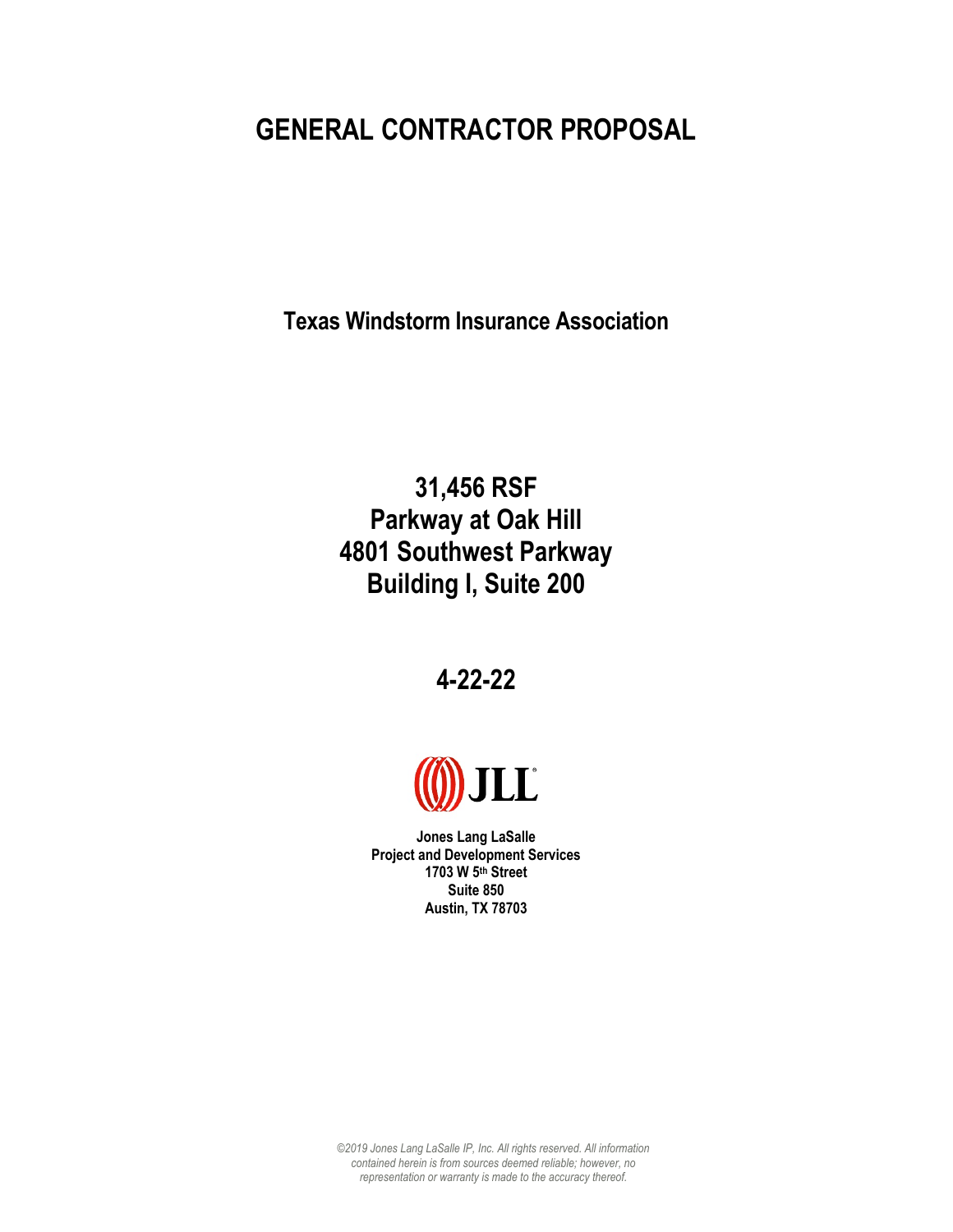# **GENERAL CONTRACTOR PROPOSAL**

**Texas Windstorm Insurance Association** 

**31,456 RSF Parkway at Oak Hill 4801 Southwest Parkway Building I, Suite 200** 

**4-22-22**



**Jones Lang LaSalle Project and Development Services 1703 W 5th Street Suite 850 Austin, TX 78703** 

*©2019 Jones Lang LaSalle IP, Inc. All rights reserved. All information contained herein is from sources deemed reliable; however, no representation or warranty is made to the accuracy thereof.*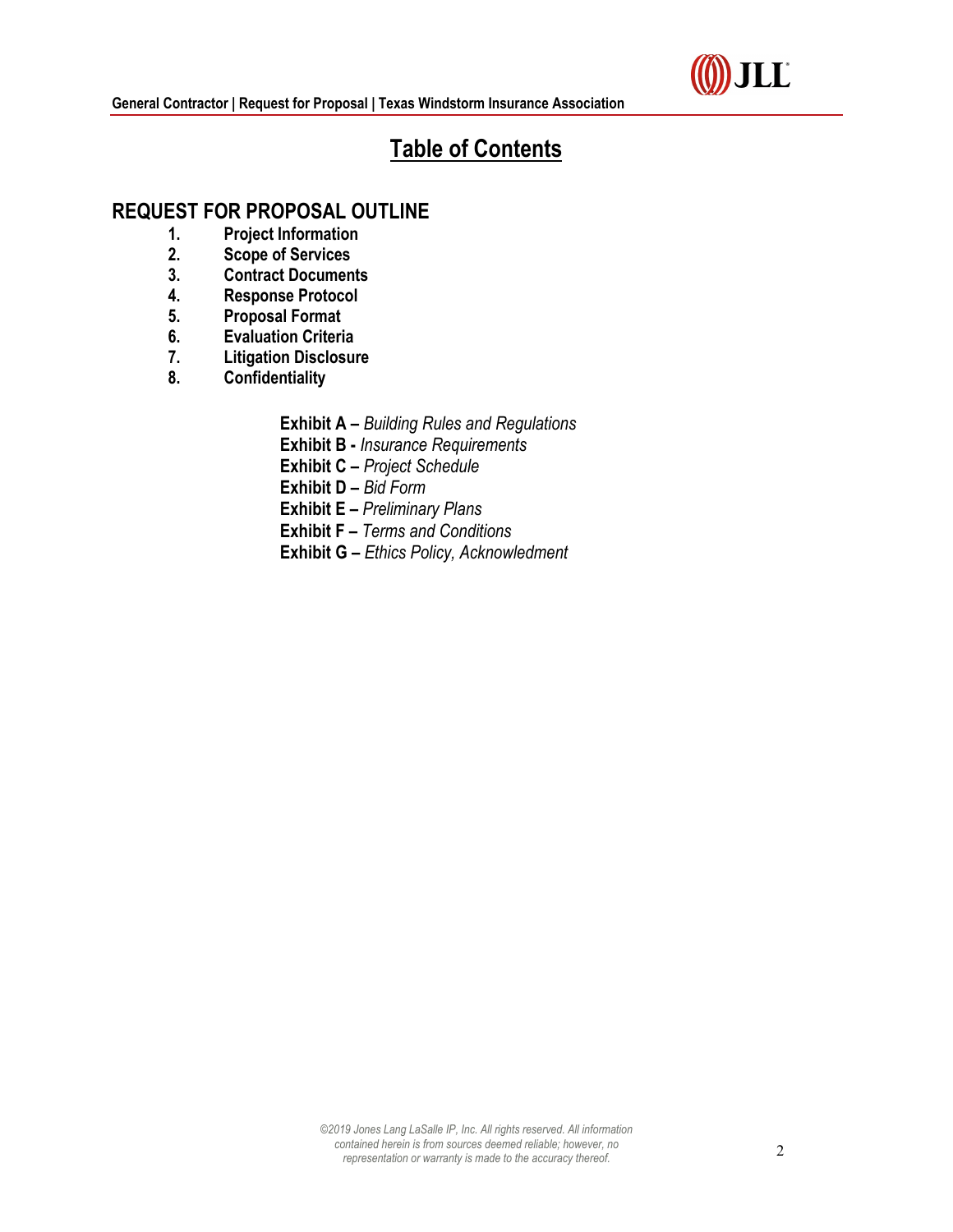

# **Table of Contents**

## **REQUEST FOR PROPOSAL OUTLINE**

- **1. Project Information**
- **2. Scope of Services**
- **3. Contract Documents**
- **4. Response Protocol**
- **5. Proposal Format**
- **6. Evaluation Criteria**
- **7. Litigation Disclosure**
- **8. Confidentiality** 
	- **Exhibit A –** *Building Rules and Regulations*
	- **Exhibit B -** *Insurance Requirements*
	- **Exhibit C –** *Project Schedule*
	- **Exhibit D –** *Bid Form*
	- **Exhibit E –** *Preliminary Plans*
	- **Exhibit F –** *Terms and Conditions*
	- **Exhibit G –** *Ethics Policy, Acknowledment*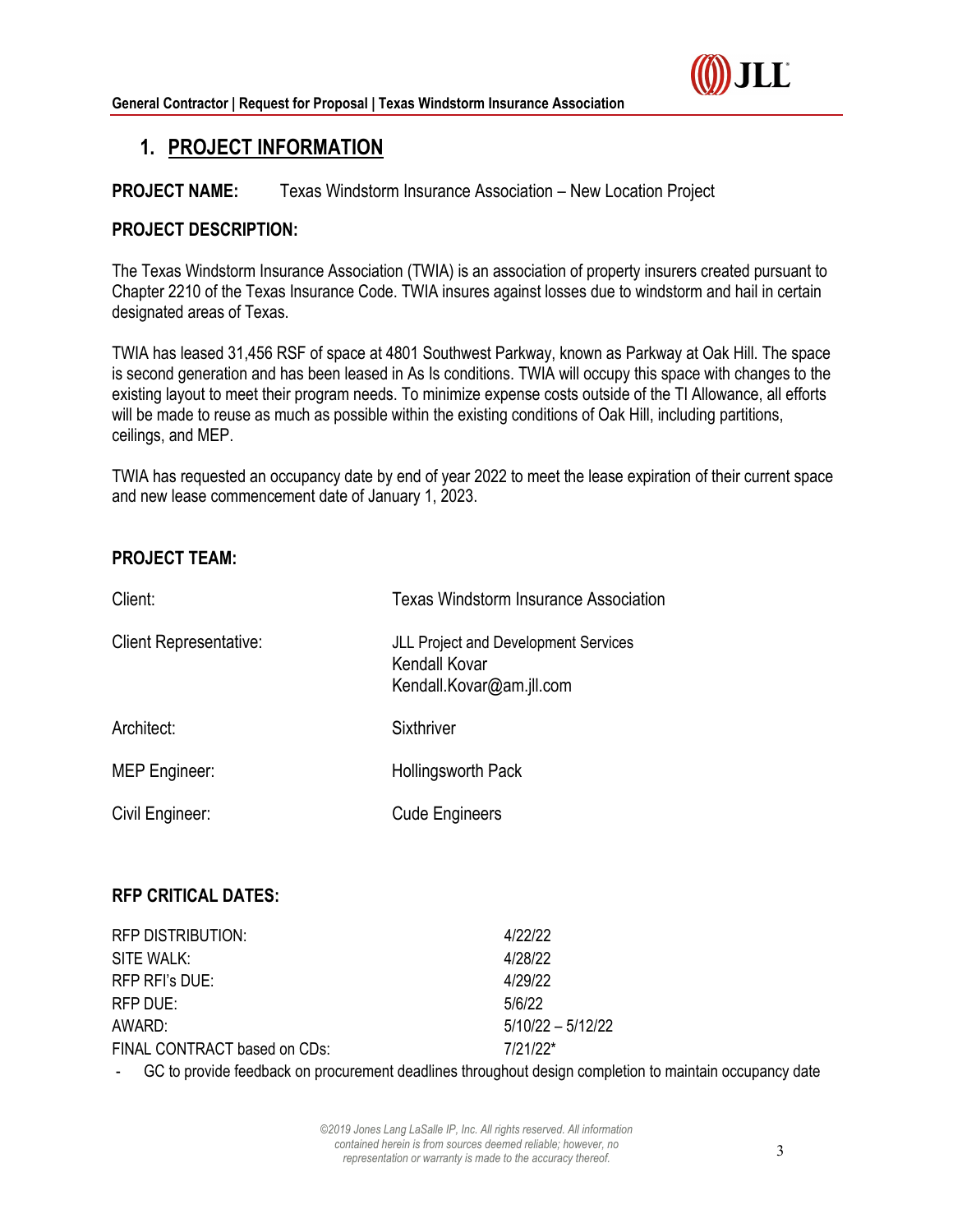

## **1. PROJECT INFORMATION**

## **PROJECT NAME:** Texas Windstorm Insurance Association – New Location Project

### **PROJECT DESCRIPTION:**

The Texas Windstorm Insurance Association (TWIA) is an association of property insurers created pursuant to Chapter 2210 of the Texas Insurance Code. TWIA insures against losses due to windstorm and hail in certain designated areas of Texas.

TWIA has leased 31,456 RSF of space at 4801 Southwest Parkway, known as Parkway at Oak Hill. The space is second generation and has been leased in As Is conditions. TWIA will occupy this space with changes to the existing layout to meet their program needs. To minimize expense costs outside of the TI Allowance, all efforts will be made to reuse as much as possible within the existing conditions of Oak Hill, including partitions, ceilings, and MEP.

TWIA has requested an occupancy date by end of year 2022 to meet the lease expiration of their current space and new lease commencement date of January 1, 2023.

## **PROJECT TEAM:**

| Client:                       | <b>Texas Windstorm Insurance Association</b>                                             |  |
|-------------------------------|------------------------------------------------------------------------------------------|--|
| <b>Client Representative:</b> | <b>JLL Project and Development Services</b><br>Kendall Kovar<br>Kendall.Kovar@am.jll.com |  |
| Architect:                    | Sixthriver                                                                               |  |
| <b>MEP Engineer:</b>          | Hollingsworth Pack                                                                       |  |
| Civil Engineer:               | <b>Cude Engineers</b>                                                                    |  |

## **RFP CRITICAL DATES:**

| RFP DISTRIBUTION:            | 4/22/22             |
|------------------------------|---------------------|
| SITE WALK:                   | 4/28/22             |
| RFP RFI's DUE:               | 4/29/22             |
| RFP DUE:                     | 5/6/22              |
| AWARD:                       | $5/10/22 - 5/12/22$ |
| FINAL CONTRACT based on CDs: | $7/21/22*$          |

GC to provide feedback on procurement deadlines throughout design completion to maintain occupancy date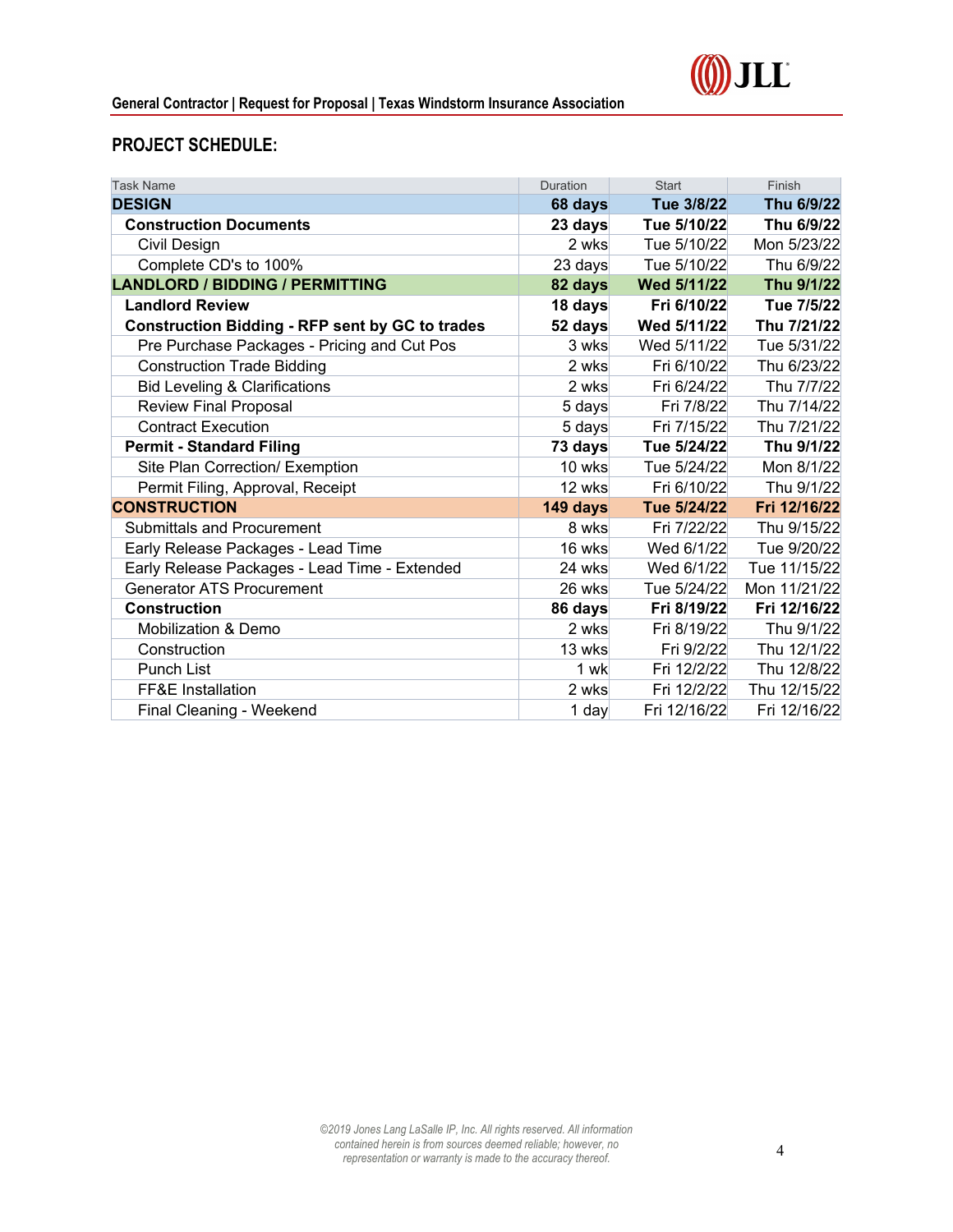



## **PROJECT SCHEDULE:**

| <b>Task Name</b>                                       | Duration | <b>Start</b> | Finish       |
|--------------------------------------------------------|----------|--------------|--------------|
| <b>DESIGN</b>                                          | 68 days  | Tue 3/8/22   | Thu 6/9/22   |
| <b>Construction Documents</b>                          | 23 days  | Tue 5/10/22  | Thu 6/9/22   |
| Civil Design                                           | 2 wks    | Tue 5/10/22  | Mon 5/23/22  |
| Complete CD's to 100%                                  | 23 days  | Tue 5/10/22  | Thu 6/9/22   |
| <b>LANDLORD / BIDDING / PERMITTING</b>                 | 82 days  | Wed 5/11/22  | Thu 9/1/22   |
| <b>Landlord Review</b>                                 | 18 days  | Fri 6/10/22  | Tue 7/5/22   |
| <b>Construction Bidding - RFP sent by GC to trades</b> | 52 days  | Wed 5/11/22  | Thu 7/21/22  |
| Pre Purchase Packages - Pricing and Cut Pos            | 3 wks    | Wed 5/11/22  | Tue 5/31/22  |
| <b>Construction Trade Bidding</b>                      | 2 wks    | Fri 6/10/22  | Thu 6/23/22  |
| <b>Bid Leveling &amp; Clarifications</b>               | 2 wks    | Fri 6/24/22  | Thu 7/7/22   |
| <b>Review Final Proposal</b>                           | 5 days   | Fri 7/8/22   | Thu 7/14/22  |
| <b>Contract Execution</b>                              | 5 days   | Fri 7/15/22  | Thu 7/21/22  |
| <b>Permit - Standard Filing</b>                        | 73 days  | Tue 5/24/22  | Thu 9/1/22   |
| Site Plan Correction/ Exemption                        | 10 wks   | Tue 5/24/22  | Mon 8/1/22   |
| Permit Filing, Approval, Receipt                       | 12 wks   | Fri 6/10/22  | Thu 9/1/22   |
| <b>CONSTRUCTION</b>                                    | 149 days | Tue 5/24/22  | Fri 12/16/22 |
| <b>Submittals and Procurement</b>                      | 8 wks    | Fri 7/22/22  | Thu 9/15/22  |
| Early Release Packages - Lead Time                     | 16 wks   | Wed 6/1/22   | Tue 9/20/22  |
| Early Release Packages - Lead Time - Extended          | 24 wks   | Wed 6/1/22   | Tue 11/15/22 |
| <b>Generator ATS Procurement</b>                       | 26 wks   | Tue 5/24/22  | Mon 11/21/22 |
| <b>Construction</b>                                    | 86 days  | Fri 8/19/22  | Fri 12/16/22 |
| <b>Mobilization &amp; Demo</b>                         | 2 wks    | Fri 8/19/22  | Thu 9/1/22   |
| Construction                                           | 13 wks   | Fri 9/2/22   | Thu 12/1/22  |
| Punch List                                             | $1$ wk   | Fri 12/2/22  | Thu 12/8/22  |
| FF&E Installation                                      | 2 wks    | Fri 12/2/22  | Thu 12/15/22 |
| Final Cleaning - Weekend                               | $1$ day  | Fri 12/16/22 | Fri 12/16/22 |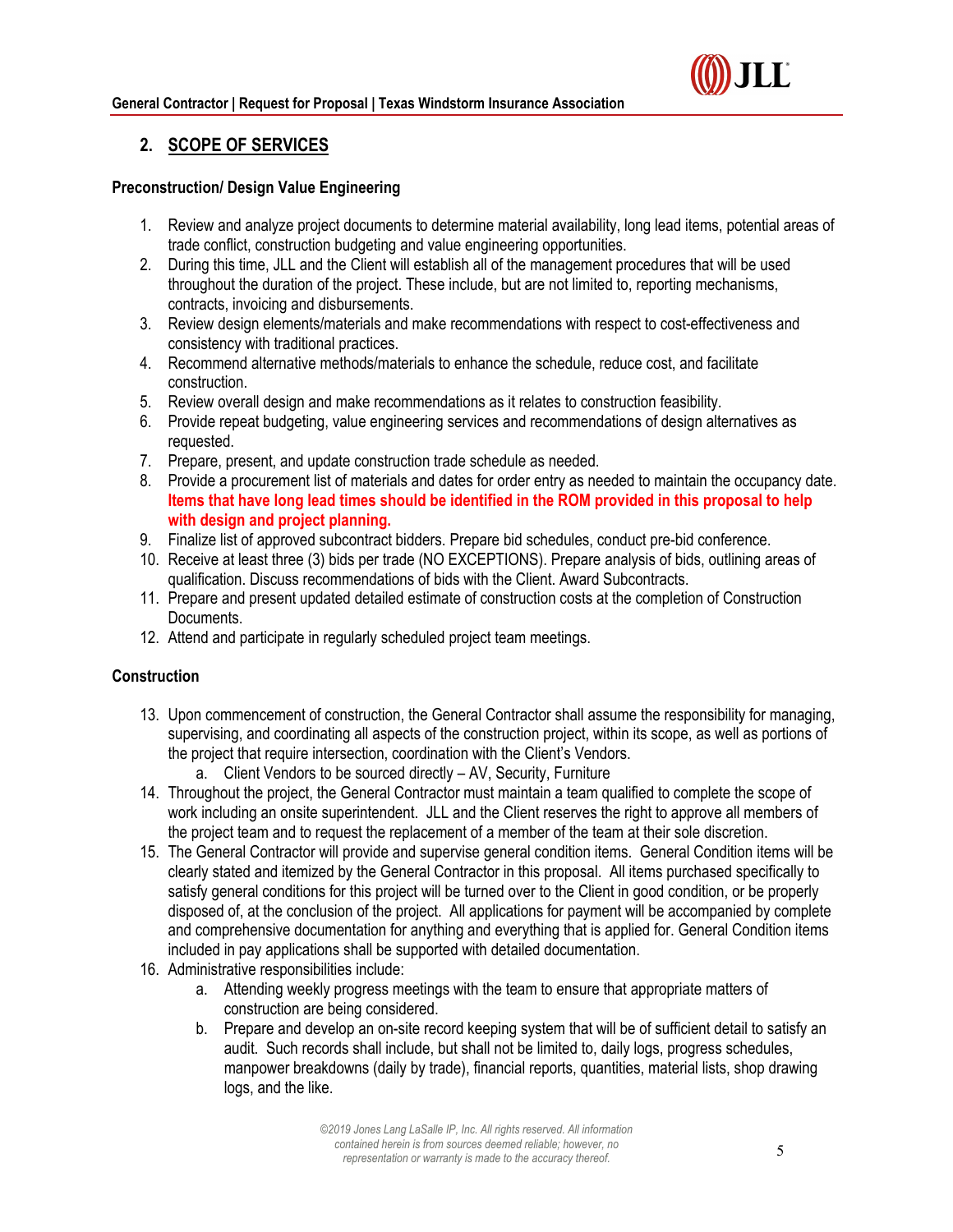

## **2. SCOPE OF SERVICES**

#### **Preconstruction/ Design Value Engineering**

- 1. Review and analyze project documents to determine material availability, long lead items, potential areas of trade conflict, construction budgeting and value engineering opportunities.
- 2. During this time, JLL and the Client will establish all of the management procedures that will be used throughout the duration of the project. These include, but are not limited to, reporting mechanisms, contracts, invoicing and disbursements.
- 3. Review design elements/materials and make recommendations with respect to cost-effectiveness and consistency with traditional practices.
- 4. Recommend alternative methods/materials to enhance the schedule, reduce cost, and facilitate construction.
- 5. Review overall design and make recommendations as it relates to construction feasibility.
- 6. Provide repeat budgeting, value engineering services and recommendations of design alternatives as requested.
- 7. Prepare, present, and update construction trade schedule as needed.
- 8. Provide a procurement list of materials and dates for order entry as needed to maintain the occupancy date. **Items that have long lead times should be identified in the ROM provided in this proposal to help with design and project planning.**
- 9. Finalize list of approved subcontract bidders. Prepare bid schedules, conduct pre-bid conference.
- 10. Receive at least three (3) bids per trade (NO EXCEPTIONS). Prepare analysis of bids, outlining areas of qualification. Discuss recommendations of bids with the Client. Award Subcontracts.
- 11. Prepare and present updated detailed estimate of construction costs at the completion of Construction Documents.
- 12. Attend and participate in regularly scheduled project team meetings.

#### **Construction**

- 13. Upon commencement of construction, the General Contractor shall assume the responsibility for managing, supervising, and coordinating all aspects of the construction project, within its scope, as well as portions of the project that require intersection, coordination with the Client's Vendors.
	- a. Client Vendors to be sourced directly AV, Security, Furniture
- 14. Throughout the project, the General Contractor must maintain a team qualified to complete the scope of work including an onsite superintendent. JLL and the Client reserves the right to approve all members of the project team and to request the replacement of a member of the team at their sole discretion.
- 15. The General Contractor will provide and supervise general condition items. General Condition items will be clearly stated and itemized by the General Contractor in this proposal. All items purchased specifically to satisfy general conditions for this project will be turned over to the Client in good condition, or be properly disposed of, at the conclusion of the project. All applications for payment will be accompanied by complete and comprehensive documentation for anything and everything that is applied for. General Condition items included in pay applications shall be supported with detailed documentation.
- 16. Administrative responsibilities include:
	- a. Attending weekly progress meetings with the team to ensure that appropriate matters of construction are being considered.
	- b. Prepare and develop an on-site record keeping system that will be of sufficient detail to satisfy an audit. Such records shall include, but shall not be limited to, daily logs, progress schedules, manpower breakdowns (daily by trade), financial reports, quantities, material lists, shop drawing logs, and the like.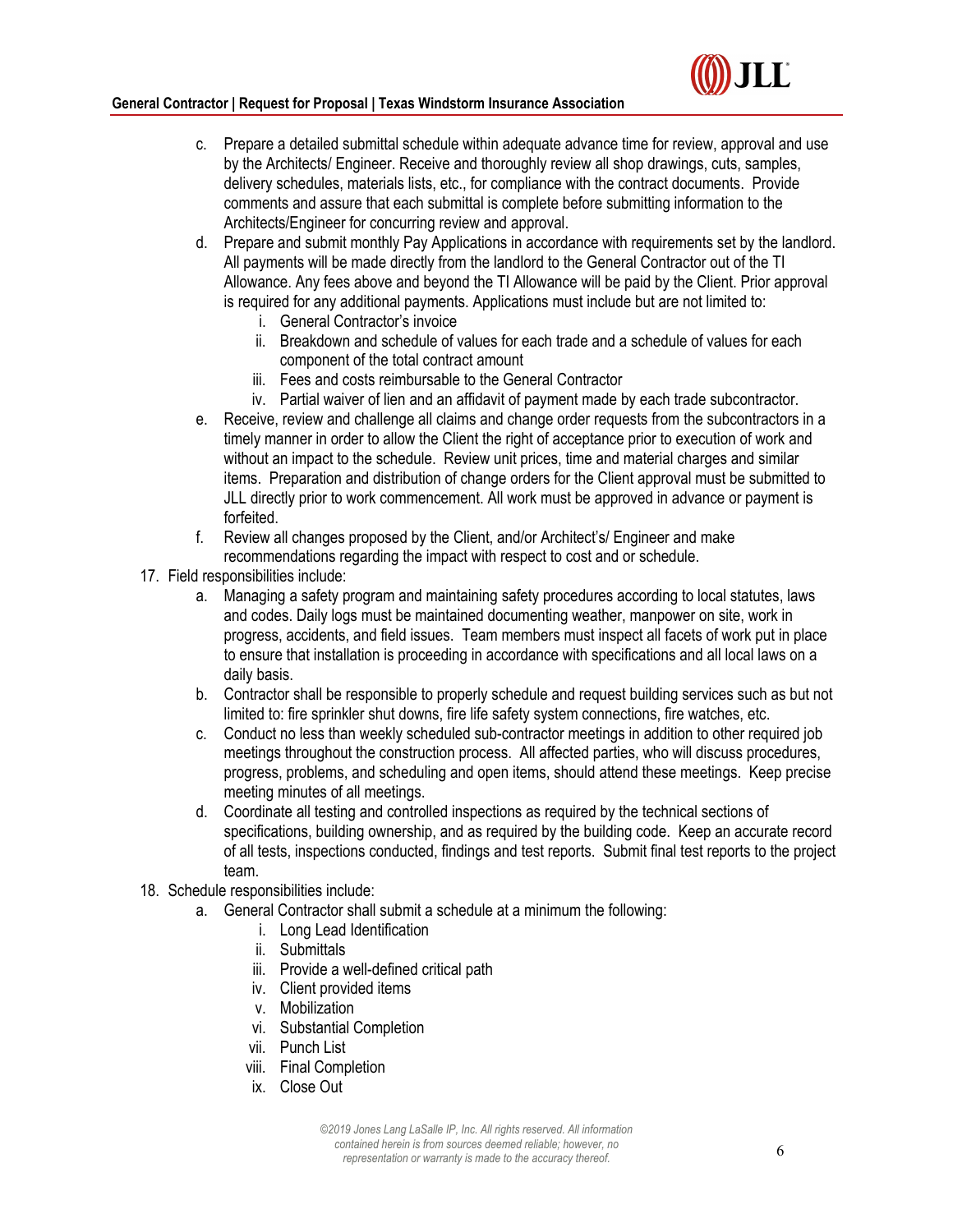#### **General Contractor | Request for Proposal | Texas Windstorm Insurance Association**

- c. Prepare a detailed submittal schedule within adequate advance time for review, approval and use by the Architects/ Engineer. Receive and thoroughly review all shop drawings, cuts, samples, delivery schedules, materials lists, etc., for compliance with the contract documents. Provide comments and assure that each submittal is complete before submitting information to the Architects/Engineer for concurring review and approval.
- d. Prepare and submit monthly Pay Applications in accordance with requirements set by the landlord. All payments will be made directly from the landlord to the General Contractor out of the TI Allowance. Any fees above and beyond the TI Allowance will be paid by the Client. Prior approval is required for any additional payments. Applications must include but are not limited to:
	- i. General Contractor's invoice
	- ii. Breakdown and schedule of values for each trade and a schedule of values for each component of the total contract amount
	- iii. Fees and costs reimbursable to the General Contractor
	- iv. Partial waiver of lien and an affidavit of payment made by each trade subcontractor.
- e. Receive, review and challenge all claims and change order requests from the subcontractors in a timely manner in order to allow the Client the right of acceptance prior to execution of work and without an impact to the schedule. Review unit prices, time and material charges and similar items. Preparation and distribution of change orders for the Client approval must be submitted to JLL directly prior to work commencement. All work must be approved in advance or payment is forfeited.
- f. Review all changes proposed by the Client, and/or Architect's/ Engineer and make recommendations regarding the impact with respect to cost and or schedule.
- 17. Field responsibilities include:
	- a. Managing a safety program and maintaining safety procedures according to local statutes, laws and codes. Daily logs must be maintained documenting weather, manpower on site, work in progress, accidents, and field issues. Team members must inspect all facets of work put in place to ensure that installation is proceeding in accordance with specifications and all local laws on a daily basis.
	- b. Contractor shall be responsible to properly schedule and request building services such as but not limited to: fire sprinkler shut downs, fire life safety system connections, fire watches, etc.
	- c. Conduct no less than weekly scheduled sub-contractor meetings in addition to other required job meetings throughout the construction process. All affected parties, who will discuss procedures, progress, problems, and scheduling and open items, should attend these meetings. Keep precise meeting minutes of all meetings.
	- d. Coordinate all testing and controlled inspections as required by the technical sections of specifications, building ownership, and as required by the building code. Keep an accurate record of all tests, inspections conducted, findings and test reports. Submit final test reports to the project team.
- 18. Schedule responsibilities include:
	- a. General Contractor shall submit a schedule at a minimum the following:
		- i. Long Lead Identification
		- ii. Submittals
		- iii. Provide a well-defined critical path
		- iv. Client provided items
		- v. Mobilization
		- vi. Substantial Completion
		- vii. Punch List
		- viii. Final Completion
		- ix. Close Out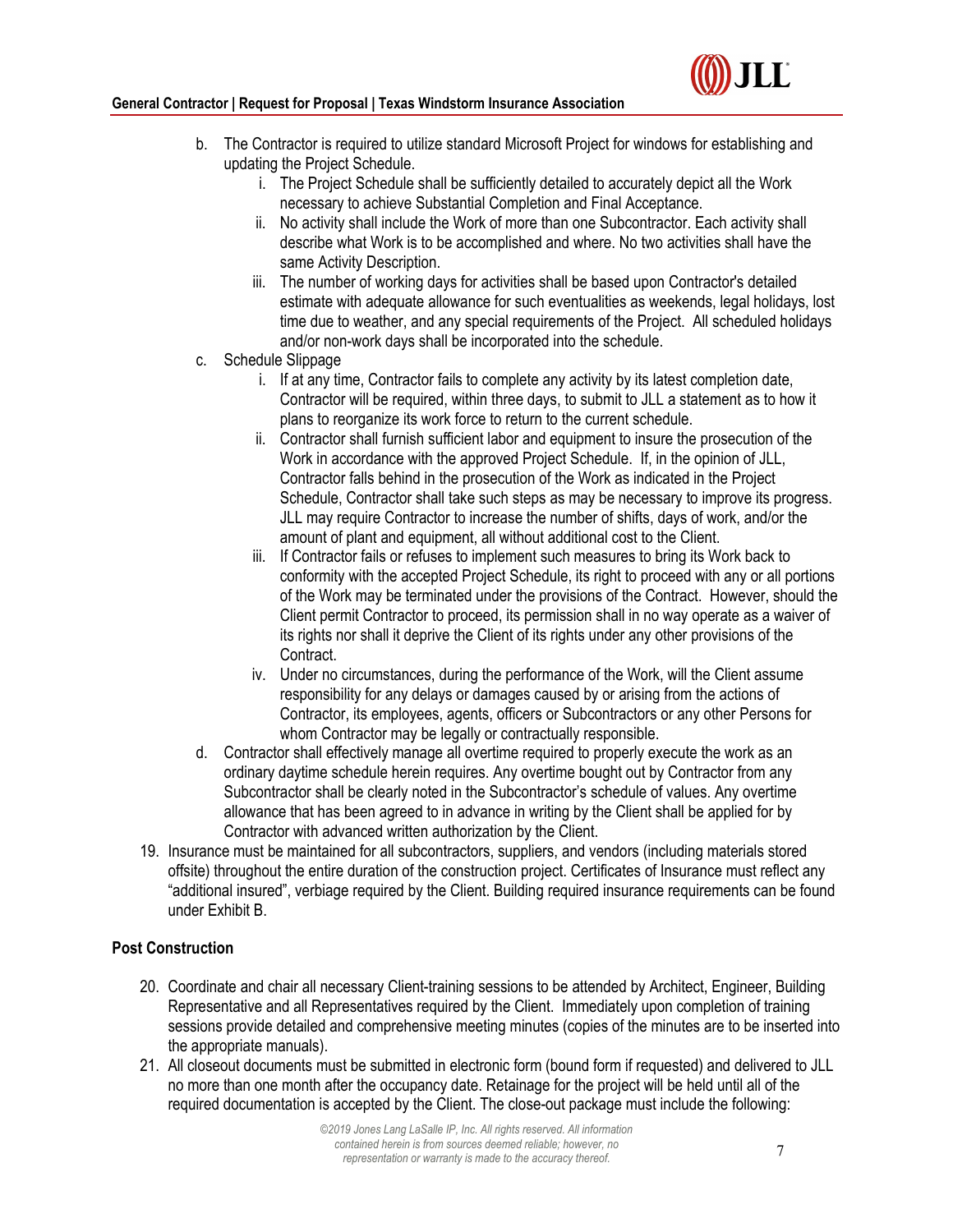#### **General Contractor | Request for Proposal | Texas Windstorm Insurance Association**



- b. The Contractor is required to utilize standard Microsoft Project for windows for establishing and updating the Project Schedule.
	- i. The Project Schedule shall be sufficiently detailed to accurately depict all the Work necessary to achieve Substantial Completion and Final Acceptance.
	- ii. No activity shall include the Work of more than one Subcontractor. Each activity shall describe what Work is to be accomplished and where. No two activities shall have the same Activity Description.
	- iii. The number of working days for activities shall be based upon Contractor's detailed estimate with adequate allowance for such eventualities as weekends, legal holidays, lost time due to weather, and any special requirements of the Project. All scheduled holidays and/or non-work days shall be incorporated into the schedule.
- c. Schedule Slippage
	- i. If at any time, Contractor fails to complete any activity by its latest completion date, Contractor will be required, within three days, to submit to JLL a statement as to how it plans to reorganize its work force to return to the current schedule.
	- ii. Contractor shall furnish sufficient labor and equipment to insure the prosecution of the Work in accordance with the approved Project Schedule. If, in the opinion of JLL, Contractor falls behind in the prosecution of the Work as indicated in the Project Schedule, Contractor shall take such steps as may be necessary to improve its progress. JLL may require Contractor to increase the number of shifts, days of work, and/or the amount of plant and equipment, all without additional cost to the Client.
	- iii. If Contractor fails or refuses to implement such measures to bring its Work back to conformity with the accepted Project Schedule, its right to proceed with any or all portions of the Work may be terminated under the provisions of the Contract. However, should the Client permit Contractor to proceed, its permission shall in no way operate as a waiver of its rights nor shall it deprive the Client of its rights under any other provisions of the **Contract**
	- iv. Under no circumstances, during the performance of the Work, will the Client assume responsibility for any delays or damages caused by or arising from the actions of Contractor, its employees, agents, officers or Subcontractors or any other Persons for whom Contractor may be legally or contractually responsible.
- d. Contractor shall effectively manage all overtime required to properly execute the work as an ordinary daytime schedule herein requires. Any overtime bought out by Contractor from any Subcontractor shall be clearly noted in the Subcontractor's schedule of values. Any overtime allowance that has been agreed to in advance in writing by the Client shall be applied for by Contractor with advanced written authorization by the Client.
- 19. Insurance must be maintained for all subcontractors, suppliers, and vendors (including materials stored offsite) throughout the entire duration of the construction project. Certificates of Insurance must reflect any "additional insured", verbiage required by the Client. Building required insurance requirements can be found under Exhibit B.

## **Post Construction**

- 20. Coordinate and chair all necessary Client-training sessions to be attended by Architect, Engineer, Building Representative and all Representatives required by the Client. Immediately upon completion of training sessions provide detailed and comprehensive meeting minutes (copies of the minutes are to be inserted into the appropriate manuals).
- 21. All closeout documents must be submitted in electronic form (bound form if requested) and delivered to JLL no more than one month after the occupancy date. Retainage for the project will be held until all of the required documentation is accepted by the Client. The close-out package must include the following: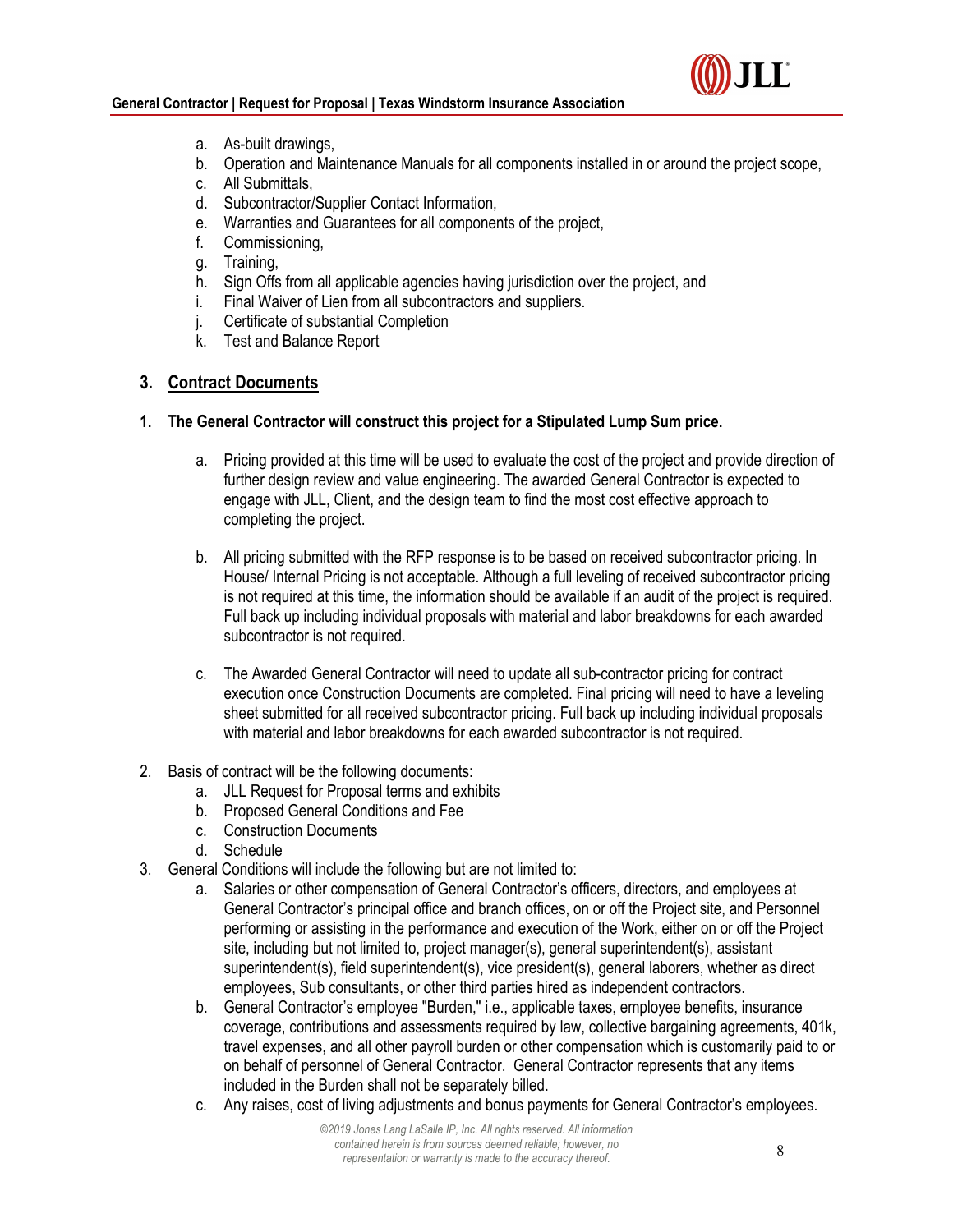



- a. As-built drawings,
- b. Operation and Maintenance Manuals for all components installed in or around the project scope,
- c. All Submittals,
- d. Subcontractor/Supplier Contact Information,
- e. Warranties and Guarantees for all components of the project,
- f. Commissioning,
- g. Training,
- h. Sign Offs from all applicable agencies having jurisdiction over the project, and
- i. Final Waiver of Lien from all subcontractors and suppliers.
- j. Certificate of substantial Completion
- k. Test and Balance Report

#### **3. Contract Documents**

- **1. The General Contractor will construct this project for a Stipulated Lump Sum price.** 
	- a. Pricing provided at this time will be used to evaluate the cost of the project and provide direction of further design review and value engineering. The awarded General Contractor is expected to engage with JLL, Client, and the design team to find the most cost effective approach to completing the project.
	- b. All pricing submitted with the RFP response is to be based on received subcontractor pricing. In House/ Internal Pricing is not acceptable. Although a full leveling of received subcontractor pricing is not required at this time, the information should be available if an audit of the project is required. Full back up including individual proposals with material and labor breakdowns for each awarded subcontractor is not required.
	- c. The Awarded General Contractor will need to update all sub-contractor pricing for contract execution once Construction Documents are completed. Final pricing will need to have a leveling sheet submitted for all received subcontractor pricing. Full back up including individual proposals with material and labor breakdowns for each awarded subcontractor is not required.
- 2. Basis of contract will be the following documents:
	- a. JLL Request for Proposal terms and exhibits
	- b. Proposed General Conditions and Fee
	- c. Construction Documents
	- d. Schedule
- 3. General Conditions will include the following but are not limited to:
	- a. Salaries or other compensation of General Contractor's officers, directors, and employees at General Contractor's principal office and branch offices, on or off the Project site, and Personnel performing or assisting in the performance and execution of the Work, either on or off the Project site, including but not limited to, project manager(s), general superintendent(s), assistant superintendent(s), field superintendent(s), vice president(s), general laborers, whether as direct employees, Sub consultants, or other third parties hired as independent contractors.
	- b. General Contractor's employee "Burden," i.e., applicable taxes, employee benefits, insurance coverage, contributions and assessments required by law, collective bargaining agreements, 401k, travel expenses, and all other payroll burden or other compensation which is customarily paid to or on behalf of personnel of General Contractor. General Contractor represents that any items included in the Burden shall not be separately billed.
	- c. Any raises, cost of living adjustments and bonus payments for General Contractor's employees.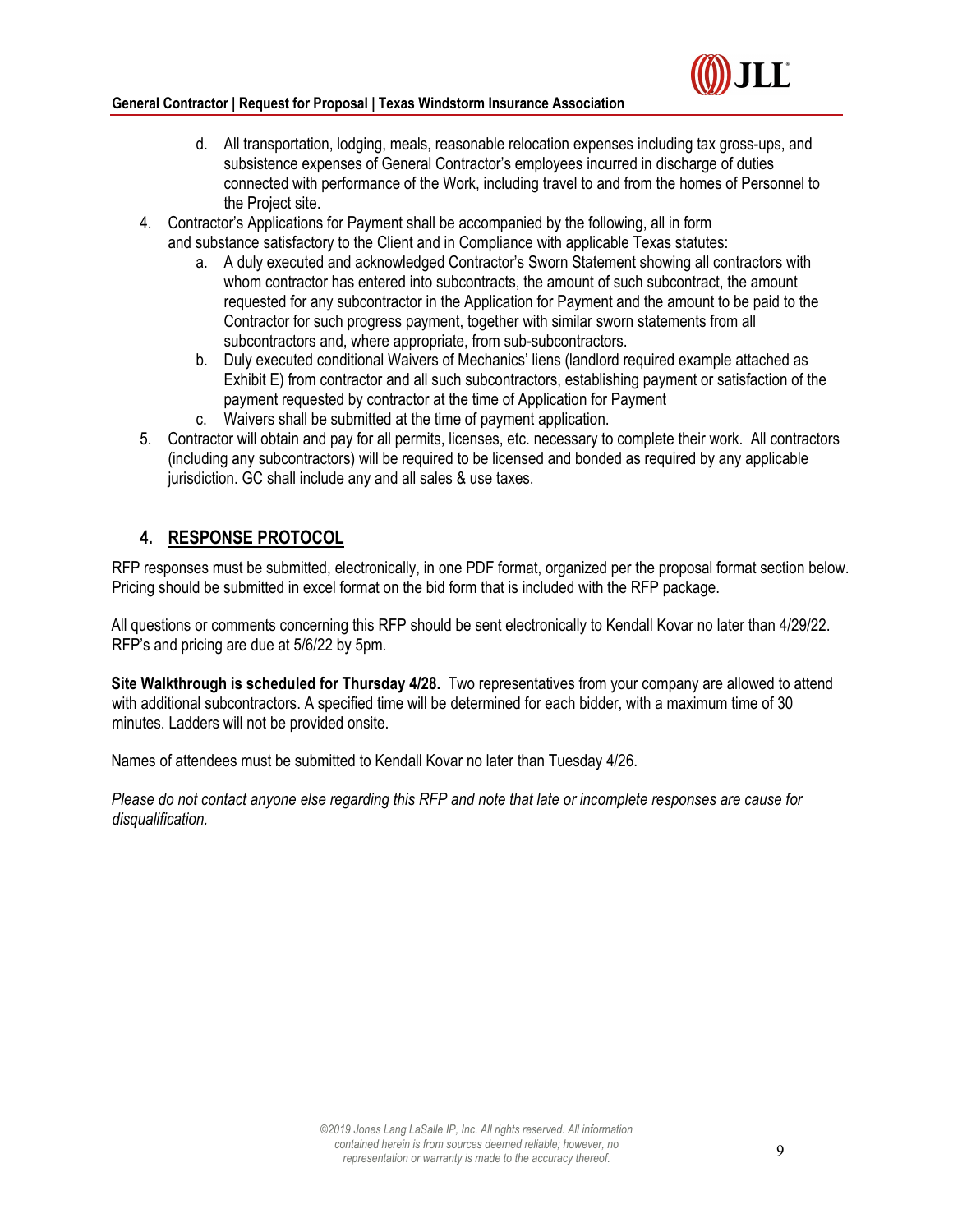#### **General Contractor | Request for Proposal | Texas Windstorm Insurance Association**

- d. All transportation, lodging, meals, reasonable relocation expenses including tax gross-ups, and subsistence expenses of General Contractor's employees incurred in discharge of duties connected with performance of the Work, including travel to and from the homes of Personnel to the Project site.
- 4. Contractor's Applications for Payment shall be accompanied by the following, all in form and substance satisfactory to the Client and in Compliance with applicable Texas statutes:
	- a. A duly executed and acknowledged Contractor's Sworn Statement showing all contractors with whom contractor has entered into subcontracts, the amount of such subcontract, the amount requested for any subcontractor in the Application for Payment and the amount to be paid to the Contractor for such progress payment, together with similar sworn statements from all subcontractors and, where appropriate, from sub-subcontractors.
	- b. Duly executed conditional Waivers of Mechanics' liens (landlord required example attached as Exhibit E) from contractor and all such subcontractors, establishing payment or satisfaction of the payment requested by contractor at the time of Application for Payment
	- c. Waivers shall be submitted at the time of payment application.
- 5. Contractor will obtain and pay for all permits, licenses, etc. necessary to complete their work. All contractors (including any subcontractors) will be required to be licensed and bonded as required by any applicable jurisdiction. GC shall include any and all sales & use taxes.

## **4. RESPONSE PROTOCOL**

RFP responses must be submitted, electronically, in one PDF format, organized per the proposal format section below. Pricing should be submitted in excel format on the bid form that is included with the RFP package.

All questions or comments concerning this RFP should be sent electronically to Kendall Kovar no later than 4/29/22. RFP's and pricing are due at 5/6/22 by 5pm.

**Site Walkthrough is scheduled for Thursday 4/28.** Two representatives from your company are allowed to attend with additional subcontractors. A specified time will be determined for each bidder, with a maximum time of 30 minutes. Ladders will not be provided onsite.

Names of attendees must be submitted to Kendall Kovar no later than Tuesday 4/26.

*Please do not contact anyone else regarding this RFP and note that late or incomplete responses are cause for disqualification.*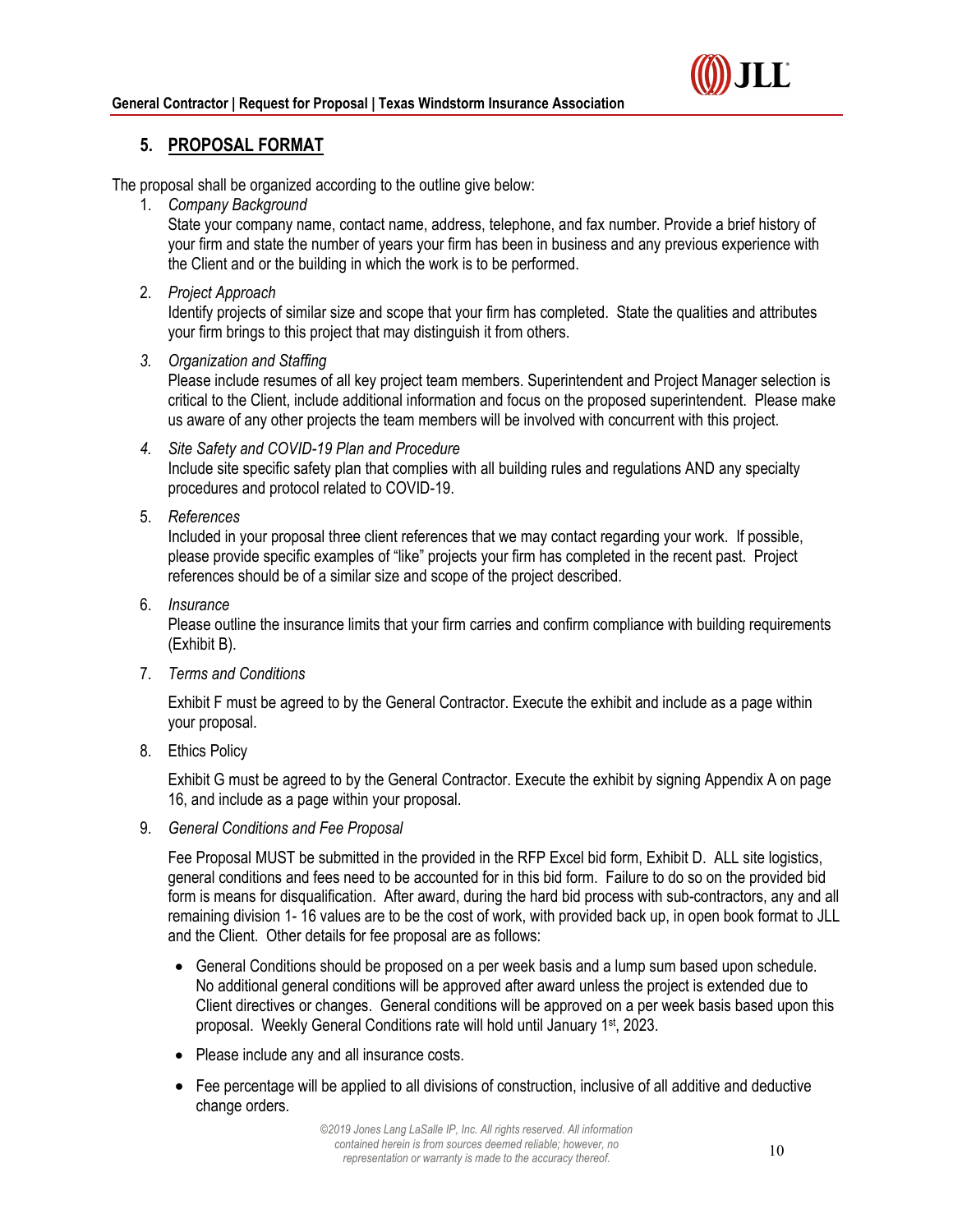

## **5. PROPOSAL FORMAT**

The proposal shall be organized according to the outline give below:

1. *Company Background* 

State your company name, contact name, address, telephone, and fax number. Provide a brief history of your firm and state the number of years your firm has been in business and any previous experience with the Client and or the building in which the work is to be performed.

2. *Project Approach*

Identify projects of similar size and scope that your firm has completed. State the qualities and attributes your firm brings to this project that may distinguish it from others.

*3. Organization and Staffing* 

Please include resumes of all key project team members. Superintendent and Project Manager selection is critical to the Client, include additional information and focus on the proposed superintendent. Please make us aware of any other projects the team members will be involved with concurrent with this project.

- *4. Site Safety and COVID-19 Plan and Procedure*  Include site specific safety plan that complies with all building rules and regulations AND any specialty procedures and protocol related to COVID-19.
- 5. *References*

Included in your proposal three client references that we may contact regarding your work. If possible, please provide specific examples of "like" projects your firm has completed in the recent past. Project references should be of a similar size and scope of the project described.

6. *Insurance* 

Please outline the insurance limits that your firm carries and confirm compliance with building requirements (Exhibit B).

7. *Terms and Conditions*

Exhibit F must be agreed to by the General Contractor. Execute the exhibit and include as a page within your proposal.

8. Ethics Policy

Exhibit G must be agreed to by the General Contractor. Execute the exhibit by signing Appendix A on page 16, and include as a page within your proposal.

9. *General Conditions and Fee Proposal* 

Fee Proposal MUST be submitted in the provided in the RFP Excel bid form, Exhibit D. ALL site logistics, general conditions and fees need to be accounted for in this bid form. Failure to do so on the provided bid form is means for disqualification. After award, during the hard bid process with sub-contractors, any and all remaining division 1- 16 values are to be the cost of work, with provided back up, in open book format to JLL and the Client. Other details for fee proposal are as follows:

- General Conditions should be proposed on a per week basis and a lump sum based upon schedule. No additional general conditions will be approved after award unless the project is extended due to Client directives or changes. General conditions will be approved on a per week basis based upon this proposal. Weekly General Conditions rate will hold until January 1st, 2023.
- Please include any and all insurance costs.
- Fee percentage will be applied to all divisions of construction, inclusive of all additive and deductive change orders.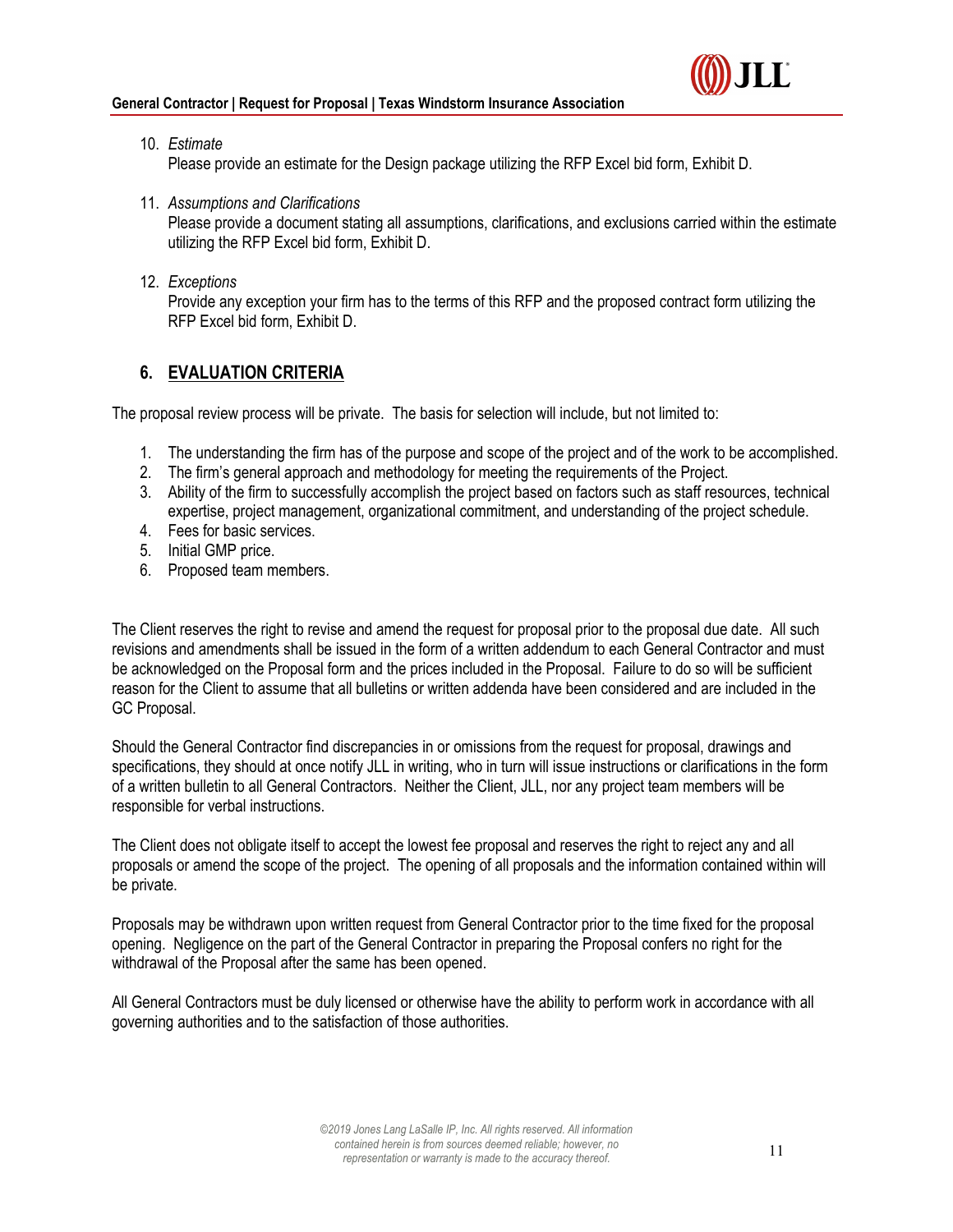

- 10. *Estimate* Please provide an estimate for the Design package utilizing the RFP Excel bid form, Exhibit D.
- 11. *Assumptions and Clarifications*

Please provide a document stating all assumptions, clarifications, and exclusions carried within the estimate utilizing the RFP Excel bid form, Exhibit D.

12. *Exceptions*

Provide any exception your firm has to the terms of this RFP and the proposed contract form utilizing the RFP Excel bid form, Exhibit D.

## **6. EVALUATION CRITERIA**

The proposal review process will be private. The basis for selection will include, but not limited to:

- 1. The understanding the firm has of the purpose and scope of the project and of the work to be accomplished.
- 2. The firm's general approach and methodology for meeting the requirements of the Project.
- 3. Ability of the firm to successfully accomplish the project based on factors such as staff resources, technical expertise, project management, organizational commitment, and understanding of the project schedule.
- 4. Fees for basic services.
- 5. Initial GMP price.
- 6. Proposed team members.

The Client reserves the right to revise and amend the request for proposal prior to the proposal due date. All such revisions and amendments shall be issued in the form of a written addendum to each General Contractor and must be acknowledged on the Proposal form and the prices included in the Proposal. Failure to do so will be sufficient reason for the Client to assume that all bulletins or written addenda have been considered and are included in the GC Proposal.

Should the General Contractor find discrepancies in or omissions from the request for proposal, drawings and specifications, they should at once notify JLL in writing, who in turn will issue instructions or clarifications in the form of a written bulletin to all General Contractors. Neither the Client, JLL, nor any project team members will be responsible for verbal instructions.

The Client does not obligate itself to accept the lowest fee proposal and reserves the right to reject any and all proposals or amend the scope of the project. The opening of all proposals and the information contained within will be private.

Proposals may be withdrawn upon written request from General Contractor prior to the time fixed for the proposal opening. Negligence on the part of the General Contractor in preparing the Proposal confers no right for the withdrawal of the Proposal after the same has been opened.

All General Contractors must be duly licensed or otherwise have the ability to perform work in accordance with all governing authorities and to the satisfaction of those authorities.